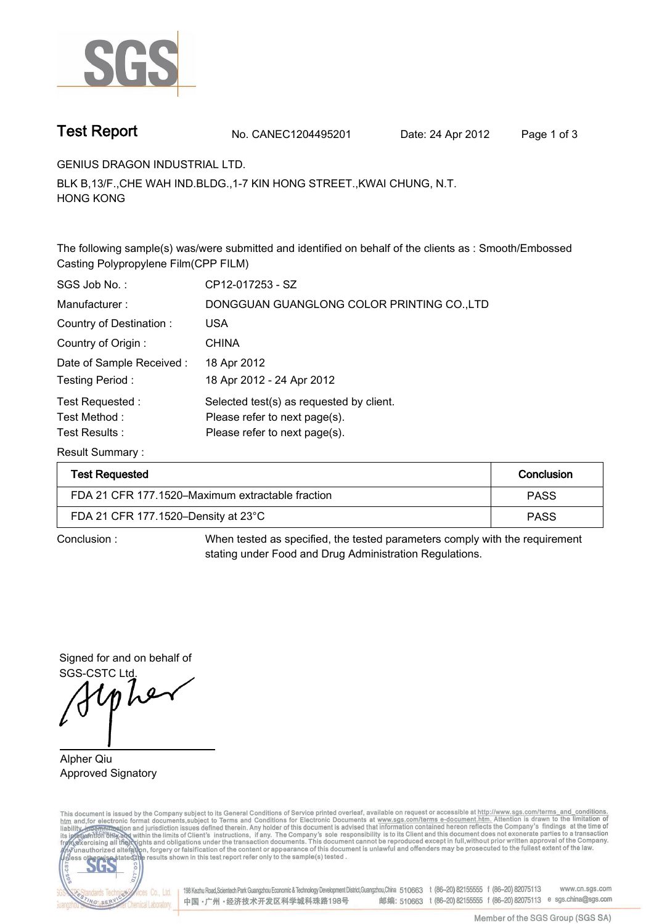

**Test Report. No. CANEC1204495201 Date: 24 Apr 2012. Page 1 of 3.**

**GENIUS DRAGON INDUSTRIAL LTD..**

**BLK B,13/F.,CHE WAH IND.BLDG.,1-7 KIN HONG STREET.,KWAI CHUNG, N.T. HONG KONG.**

**The following sample(s) was/were submitted and identified on behalf of the clients as : Smooth/Embossed Casting Polypropylene Film(CPP FILM).**

| SGS Job No.:                                       | CP12-017253 - SZ                                                                                           |
|----------------------------------------------------|------------------------------------------------------------------------------------------------------------|
| Manufacturer:                                      | DONGGUAN GUANGLONG COLOR PRINTING CO., LTD                                                                 |
| Country of Destination:                            | <b>USA</b>                                                                                                 |
| Country of Origin:                                 | <b>CHINA</b>                                                                                               |
| Date of Sample Received:                           | 18 Apr 2012                                                                                                |
| Testing Period:                                    | 18 Apr 2012 - 24 Apr 2012                                                                                  |
| Test Requested:<br>Test Method :<br>Test Results : | Selected test(s) as requested by client.<br>Please refer to next page(s).<br>Please refer to next page(s). |
|                                                    |                                                                                                            |

**Result Summary :.**

| <b>Test Requested</b>                            | Conclusion  |
|--------------------------------------------------|-------------|
| FDA 21 CFR 177,1520–Maximum extractable fraction | <b>PASS</b> |
| FDA 21 CFR 177.1520-Density at 23°C              | <b>PASS</b> |

**Conclusion :. When tested as specified, the tested parameters comply with the requirement stating under Food and Drug Administration Regulations..**

**Signed for and on behalf of SGS-CSTC Ltd..**

 $lnh$ er

**Alpher Qiu. Approved Signatory. . .**

This document is issued by the Company subject to its General Conditions of Service printed overleaf, available on request or accessible at http://www.sgs.com/terms\_and\_conditions.<br>htm\_and, for electronic format documents,



198 Kezhu Road,Scientech Park Guangzhou Economic & Technology Development District,Guangzhou,China 510663 t (86-20) 82155555 f (86-20) 82075113 www.cn.sgs.com 邮编: 510663 t (86-20) 82155555 f (86-20) 82075113 e sgs.china@sgs.com 中国·广州·经济技术开发区科学城科珠路198号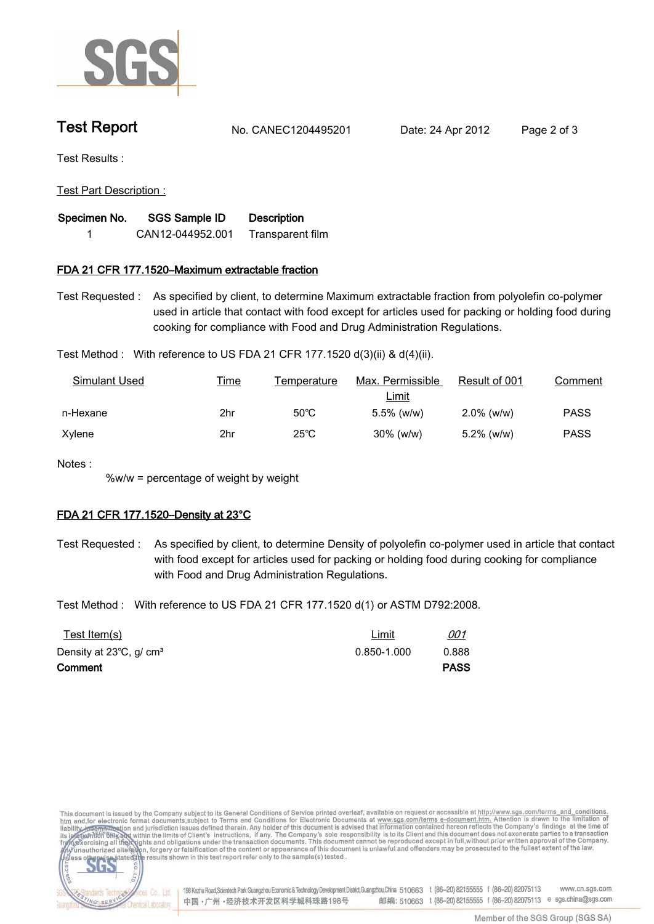

**Test Report. No. CANEC1204495201 Date: 24 Apr 2012. Page 2 of 3.**

**Test Results :.**

**Test Part Description :.**

| Specimen No. | <b>SGS Sample ID</b> | <b>Description</b> |
|--------------|----------------------|--------------------|
|              | CAN12-044952.001     | Transparent film   |

## **FDA 21 CFR 177.1520–Maximum extractable fraction.**

**Test Requested :. As specified by client, to determine Maximum extractable fraction from polyolefin co-polymer used in article that contact with food except for articles used for packing or holding food during cooking for compliance with Food and Drug Administration Regulations..**

**Test Method :. With reference to US FDA 21 CFR 177.1520 d(3)(ii) & d(4)(ii)..**

| Simulant Used | <u>Time</u> | Temperature    | Max. Permissible | Result of 001 | Comment     |
|---------------|-------------|----------------|------------------|---------------|-------------|
|               |             |                | <u>Limit</u>     |               |             |
| n-Hexane      | 2hr         | $50^{\circ}$ C | $5.5\%$ (w/w)    | $2.0\%$ (w/w) | <b>PASS</b> |
| Xylene        | 2hr         | $25^{\circ}$ C | $30\%$ (w/w)     | $5.2\%$ (w/w) | <b>PASS</b> |

**Notes :.**

lards Teo

**NG SER** 

fices Co., Ltd.

Chemical Laboratory.

**%w/w = percentage of weight by weight.**

## **FDA 21 CFR 177.1520–Density at 23°C.**

**Test Requested :. As specified by client, to determine Density of polyolefin co-polymer used in article that contact with food except for articles used for packing or holding food during cooking for compliance with Food and Drug Administration Regulations..**

**Test Method :. With reference to US FDA 21 CFR 177.1520 d(1) or ASTM D792:2008..**

| <u>Test Item(s)</u>                           | <u>Limit</u>    | <u>001</u>  |
|-----------------------------------------------|-----------------|-------------|
| Density at $23^{\circ}$ C, g/ cm <sup>3</sup> | $0.850 - 1.000$ | 0.888       |
| Comment                                       |                 | <b>PASS</b> |

This document is issued by the Company subject to its General Conditions of Service printed overleaf, available on request or accessible at http://www.sgs.com/terms\_and\_conditions.<br>htm\_and,for electronic format documents,s  $co.$